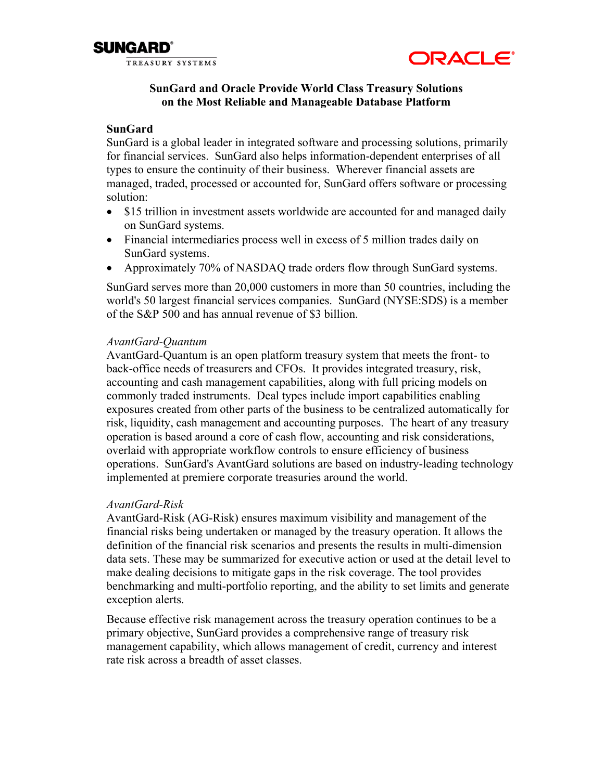



# **SunGard and Oracle Provide World Class Treasury Solutions on the Most Reliable and Manageable Database Platform**

## **SunGard**

SunGard is a global leader in integrated software and processing solutions, primarily for financial services. SunGard also helps information-dependent enterprises of all types to ensure the continuity of their business. Wherever financial assets are managed, traded, processed or accounted for, SunGard offers software or processing solution:

- \$15 trillion in investment assets worldwide are accounted for and managed daily on SunGard systems.
- Financial intermediaries process well in excess of 5 million trades daily on SunGard systems.
- Approximately 70% of NASDAQ trade orders flow through SunGard systems.

SunGard serves more than 20,000 customers in more than 50 countries, including the world's 50 largest financial services companies. SunGard (NYSE:SDS) is a member of the S&P 500 and has annual revenue of \$3 billion.

## *AvantGard-Quantum*

AvantGard-Quantum is an open platform treasury system that meets the front- to back-office needs of treasurers and CFOs. It provides integrated treasury, risk, accounting and cash management capabilities, along with full pricing models on commonly traded instruments. Deal types include import capabilities enabling exposures created from other parts of the business to be centralized automatically for risk, liquidity, cash management and accounting purposes. The heart of any treasury operation is based around a core of cash flow, accounting and risk considerations, overlaid with appropriate workflow controls to ensure efficiency of business operations. SunGard's AvantGard solutions are based on industry-leading technology implemented at premiere corporate treasuries around the world.

# *AvantGard-Risk*

AvantGard-Risk (AG-Risk) ensures maximum visibility and management of the financial risks being undertaken or managed by the treasury operation. It allows the definition of the financial risk scenarios and presents the results in multi-dimension data sets. These may be summarized for executive action or used at the detail level to make dealing decisions to mitigate gaps in the risk coverage. The tool provides benchmarking and multi-portfolio reporting, and the ability to set limits and generate exception alerts.

Because effective risk management across the treasury operation continues to be a primary objective, SunGard provides a comprehensive range of treasury risk management capability, which allows management of credit, currency and interest rate risk across a breadth of asset classes.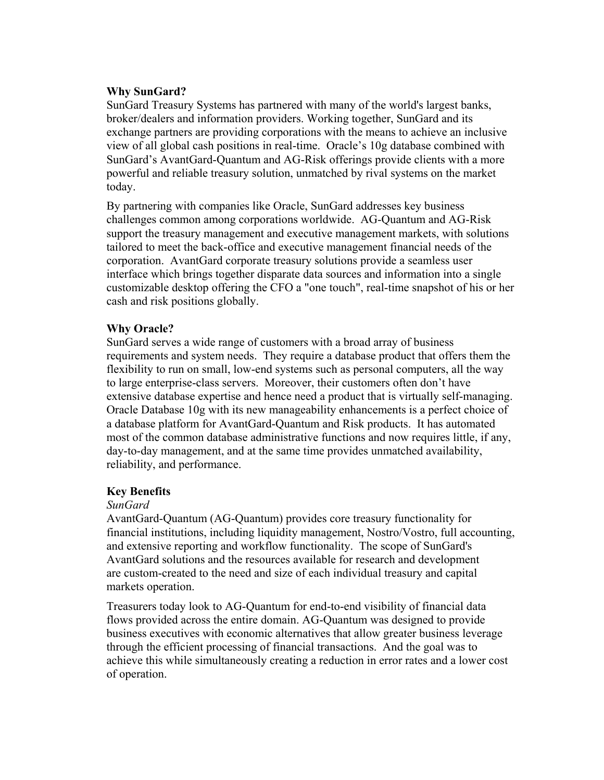# **Why SunGard?**

SunGard Treasury Systems has partnered with many of the world's largest banks, broker/dealers and information providers. Working together, SunGard and its exchange partners are providing corporations with the means to achieve an inclusive view of all global cash positions in real-time. Oracle's 10g database combined with SunGard's AvantGard-Quantum and AG-Risk offerings provide clients with a more powerful and reliable treasury solution, unmatched by rival systems on the market today.

By partnering with companies like Oracle, SunGard addresses key business challenges common among corporations worldwide. AG-Quantum and AG-Risk support the treasury management and executive management markets, with solutions tailored to meet the back-office and executive management financial needs of the corporation. AvantGard corporate treasury solutions provide a seamless user interface which brings together disparate data sources and information into a single customizable desktop offering the CFO a "one touch", real-time snapshot of his or her cash and risk positions globally.

## **Why Oracle?**

SunGard serves a wide range of customers with a broad array of business requirements and system needs. They require a database product that offers them the flexibility to run on small, low-end systems such as personal computers, all the way to large enterprise-class servers. Moreover, their customers often don't have extensive database expertise and hence need a product that is virtually self-managing. Oracle Database 10g with its new manageability enhancements is a perfect choice of a database platform for AvantGard-Quantum and Risk products. It has automated most of the common database administrative functions and now requires little, if any, day-to-day management, and at the same time provides unmatched availability, reliability, and performance.

## **Key Benefits**

## *SunGard*

AvantGard-Quantum (AG-Quantum) provides core treasury functionality for financial institutions, including liquidity management, Nostro/Vostro, full accounting, and extensive reporting and workflow functionality. The scope of SunGard's AvantGard solutions and the resources available for research and development are custom-created to the need and size of each individual treasury and capital markets operation.

Treasurers today look to AG-Quantum for end-to-end visibility of financial data flows provided across the entire domain. AG-Quantum was designed to provide business executives with economic alternatives that allow greater business leverage through the efficient processing of financial transactions. And the goal was to achieve this while simultaneously creating a reduction in error rates and a lower cost of operation.